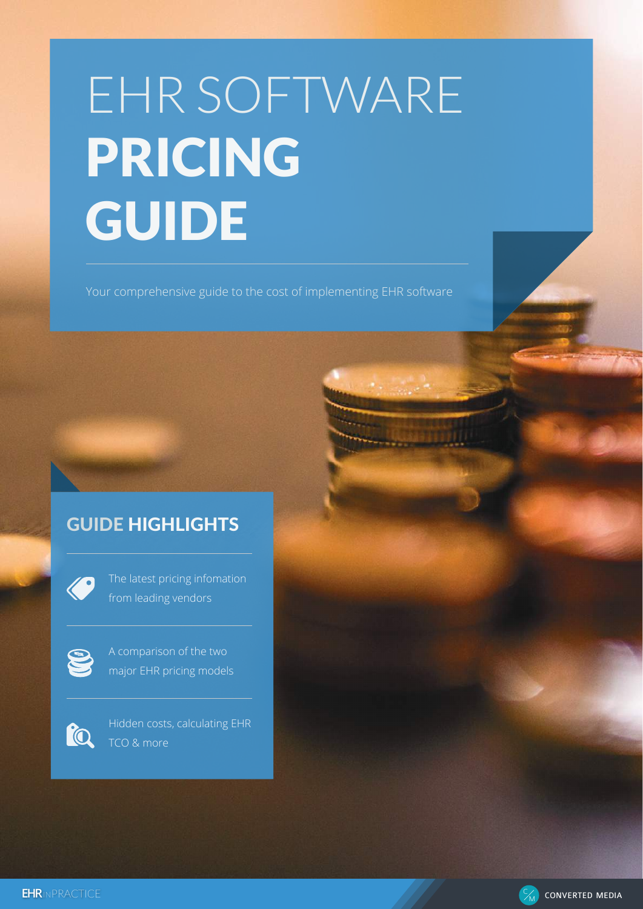# EHR SOFTWARE PRICING GUIDE

Your comprehensive guide to the cost of implementing EHR software

# GUIDE HIGHLIGHTS



The latest pricing infomation from leading vendors



A comparison of the two major EHR pricing models



Hidden costs, calculating EHR TCO & more



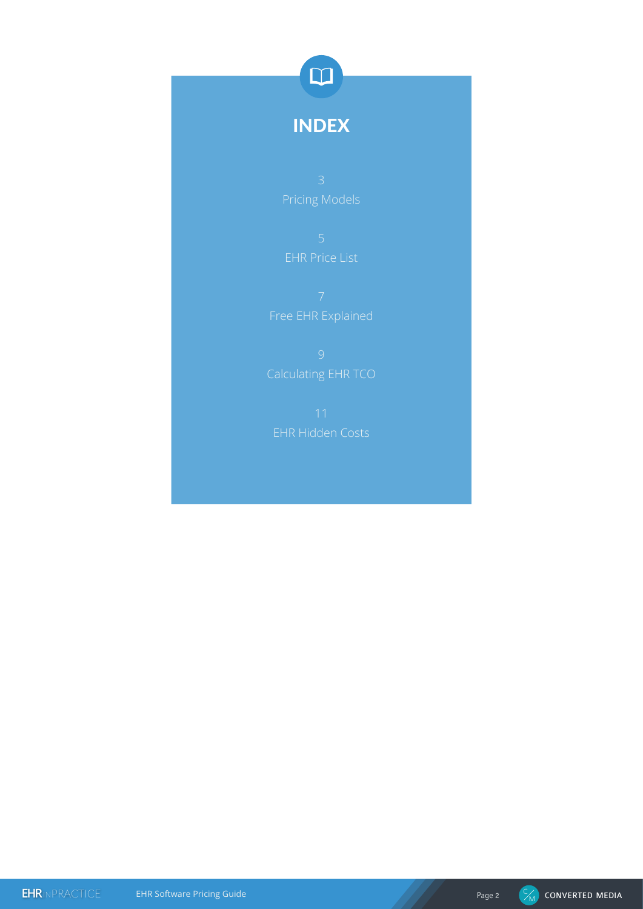

# INDEX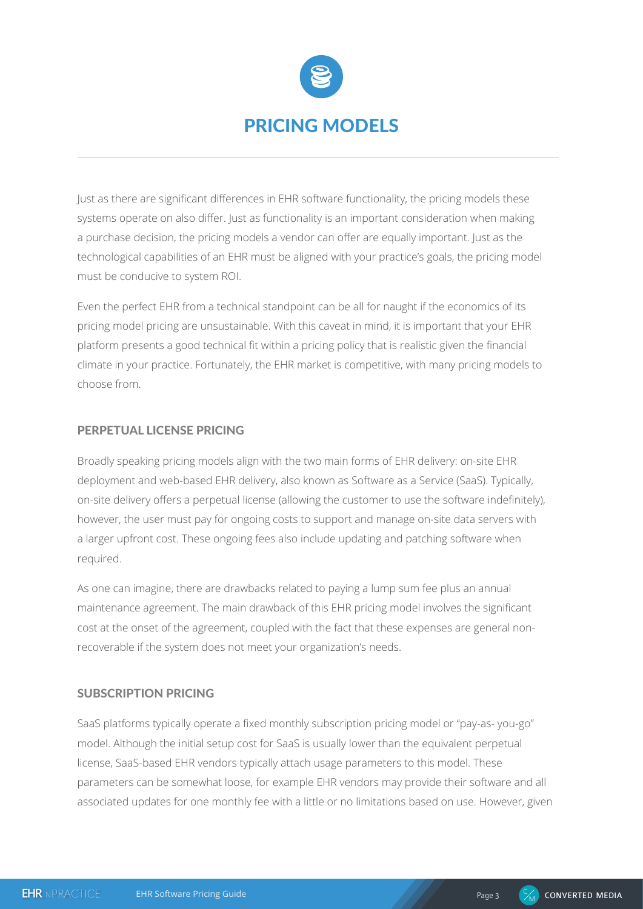

Just as there are significant differences in EHR software functionality, the pricing models these systems operate on also differ. Just as functionality is an important consideration when making a purchase decision, the pricing models a vendor can offer are equally important. Just as the technological capabilities of an EHR must be aligned with your practice's goals, the pricing model must be conducive to system ROI.

Even the perfect EHR from a technical standpoint can be all for naught if the economics of its pricing model pricing are unsustainable. With this caveat in mind, it is important that your EHR platform presents a good technical fit within a pricing policy that is realistic given the financial climate in your practice. Fortunately, the EHR market is competitive, with many pricing models to choose from.

## PERPETUAL LICENSE PRICING

Broadly speaking pricing models align with the two main forms of EHR delivery: on-site EHR deployment and web-based EHR delivery, also known as Software as a Service (SaaS). Typically, on-site delivery offers a perpetual license (allowing the customer to use the software indefinitely), however, the user must pay for ongoing costs to support and manage on-site data servers with a larger upfront cost. These ongoing fees also include updating and patching software when required.

As one can imagine, there are drawbacks related to paying a lump sum fee plus an annual maintenance agreement. The main drawback of this EHR pricing model involves the significant cost at the onset of the agreement, coupled with the fact that these expenses are general nonrecoverable if the system does not meet your organization's needs.

# SUBSCRIPTION PRICING

SaaS platforms typically operate a fixed monthly subscription pricing model or "pay-as- you-go" model. Although the initial setup cost for SaaS is usually lower than the equivalent perpetual license, SaaS-based EHR vendors typically attach usage parameters to this model. These parameters can be somewhat loose, for example EHR vendors may provide their software and all associated updates for one monthly fee with a little or no limitations based on use. However, given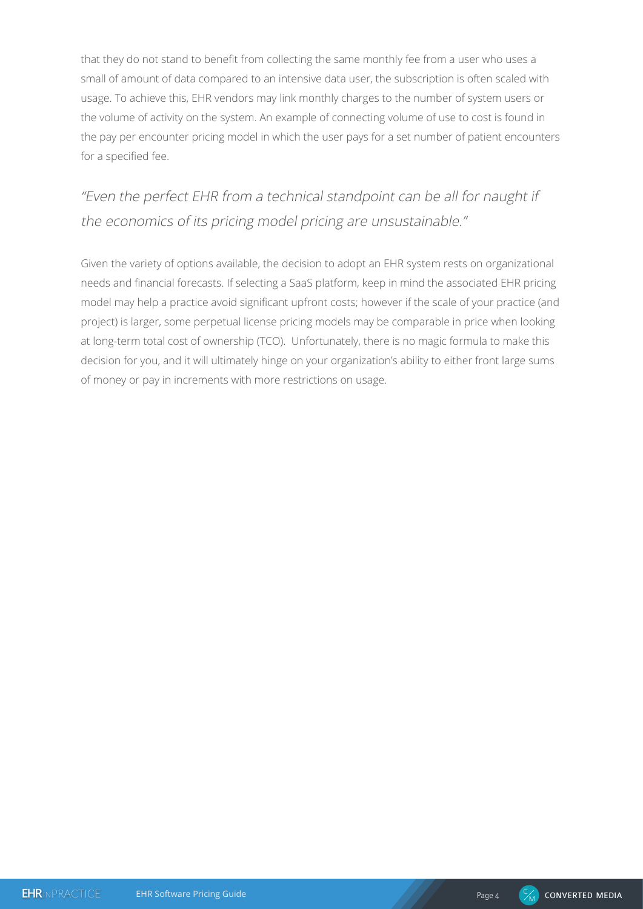that they do not stand to benefit from collecting the same monthly fee from a user who uses a small of amount of data compared to an intensive data user, the subscription is often scaled with usage. To achieve this, EHR vendors may link monthly charges to the number of system users or the volume of activity on the system. An example of connecting volume of use to cost is found in the pay per encounter pricing model in which the user pays for a set number of patient encounters for a specified fee.

# "Even the perfect EHR from a technical standpoint can be all for naught if the economics of its pricing model pricing are unsustainable."

Given the variety of options available, the decision to adopt an EHR system rests on organizational needs and financial forecasts. If selecting a SaaS platform, keep in mind the associated EHR pricing model may help a practice avoid significant upfront costs; however if the scale of your practice (and project) is larger, some perpetual license pricing models may be comparable in price when looking at long-term total cost of ownership (TCO). Unfortunately, there is no magic formula to make this decision for you, and it will ultimately hinge on your organization's ability to either front large sums of money or pay in increments with more restrictions on usage.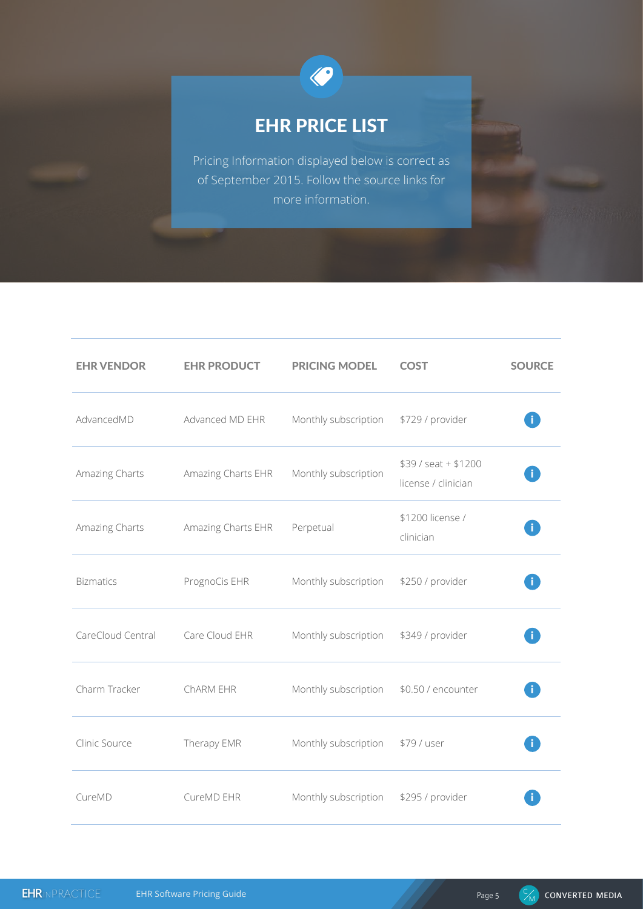

# EHR PRICE LIST

Pricing Information displayed below is correct as of September 2015. Follow the source links for more information.

| <b>EHR VENDOR</b> | <b>EHR PRODUCT</b> | <b>PRICING MODEL</b> | <b>COST</b>                                 | <b>SOURCE</b> |
|-------------------|--------------------|----------------------|---------------------------------------------|---------------|
| AdvancedMD        | Advanced MD EHR    | Monthly subscription | \$729 / provider                            |               |
| Amazing Charts    | Amazing Charts EHR | Monthly subscription | $$39 / seat + $1200$<br>license / clinician |               |
| Amazing Charts    | Amazing Charts EHR | Perpetual            | \$1200 license /<br>clinician               |               |
| <b>Bizmatics</b>  | PrognoCis EHR      | Monthly subscription | \$250 / provider                            |               |
| CareCloud Central | Care Cloud EHR     | Monthly subscription | \$349 / provider                            |               |
| Charm Tracker     | ChARM EHR          | Monthly subscription | \$0.50 / encounter                          |               |
| Clinic Source     | Therapy EMR        | Monthly subscription | \$79 / user                                 |               |
| CureMD            | CureMD EHR         | Monthly subscription | \$295 / provider                            |               |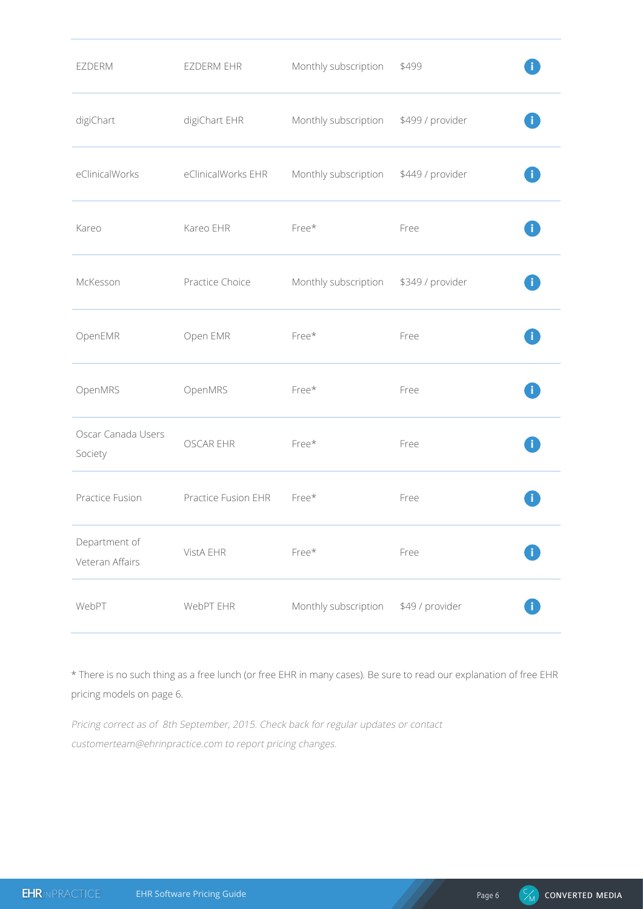| EZDERM                           | EZDERM EHR          | Monthly subscription | \$499            |  |
|----------------------------------|---------------------|----------------------|------------------|--|
| digiChart                        | digiChart EHR       | Monthly subscription | \$499 / provider |  |
| eClinicalWorks                   | eClinicalWorks EHR  | Monthly subscription | \$449 / provider |  |
| Kareo                            | Kareo EHR           | Free*                | Free             |  |
| McKesson                         | Practice Choice     | Monthly subscription | \$349 / provider |  |
| OpenEMR                          | Open EMR            | Free*                | Free             |  |
| OpenMRS                          | OpenMRS             | Free*                | Free             |  |
| Oscar Canada Users<br>Society    | <b>OSCAR EHR</b>    | Free*                | Free             |  |
| Practice Fusion                  | Practice Fusion EHR | Free*                | Free             |  |
| Department of<br>Veteran Affairs | VistA EHR           | Free*                | Free             |  |
| WebPT                            | WebPT EHR           | Monthly subscription | \$49 / provider  |  |

\* There is no such thing as a free lunch (or free EHR in many cases). Be sure to read our explanation of free EHR pricing models on page 6.

Pricing correct as of 8th September, 2015. Check back for regular updates or contact customerteam@ehrinpractice.com to report pricing changes.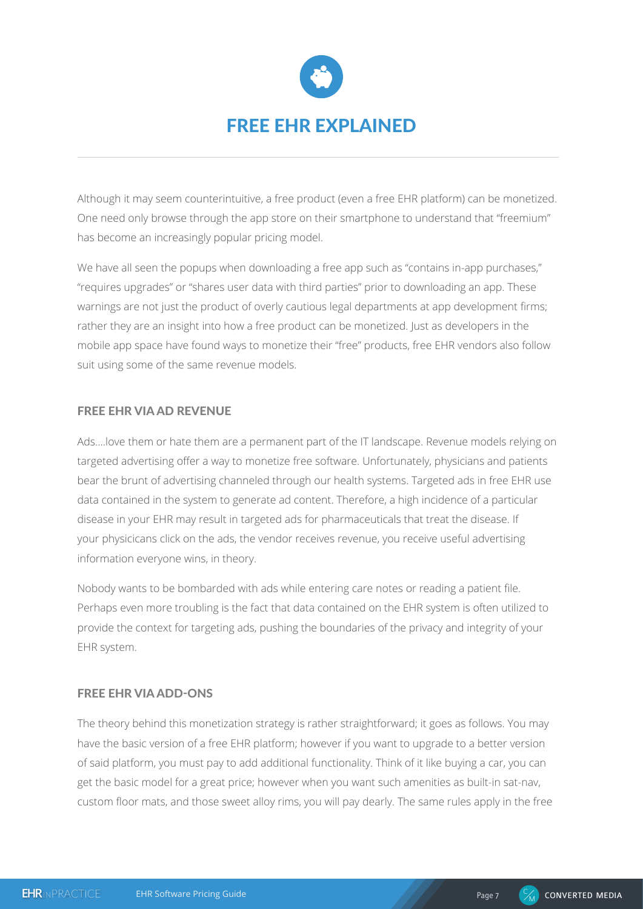

Although it may seem counterintuitive, a free product (even a free EHR platform) can be monetized. One need only browse through the app store on their smartphone to understand that "freemium" has become an increasingly popular pricing model.

We have all seen the popups when downloading a free app such as "contains in-app purchases," "requires upgrades" or "shares user data with third parties" prior to downloading an app. These warnings are not just the product of overly cautious legal departments at app development firms; rather they are an insight into how a free product can be monetized. Just as developers in the mobile app space have found ways to monetize their "free" products, free EHR vendors also follow suit using some of the same revenue models.

# FREE EHR VIA AD REVENUE

Ads….love them or hate them are a permanent part of the IT landscape. Revenue models relying on targeted advertising offer a way to monetize free software. Unfortunately, physicians and patients bear the brunt of advertising channeled through our health systems. Targeted ads in free EHR use data contained in the system to generate ad content. Therefore, a high incidence of a particular disease in your EHR may result in targeted ads for pharmaceuticals that treat the disease. If your physicicans click on the ads, the vendor receives revenue, you receive useful advertising information everyone wins, in theory.

Nobody wants to be bombarded with ads while entering care notes or reading a patient file. Perhaps even more troubling is the fact that data contained on the EHR system is often utilized to provide the context for targeting ads, pushing the boundaries of the privacy and integrity of your EHR system.

# FREE EHR VIA ADD-ONS

The theory behind this monetization strategy is rather straightforward; it goes as follows. You may have the basic version of a free EHR platform; however if you want to upgrade to a better version of said platform, you must pay to add additional functionality. Think of it like buying a car, you can get the basic model for a great price; however when you want such amenities as built-in sat-nav, custom floor mats, and those sweet alloy rims, you will pay dearly. The same rules apply in the free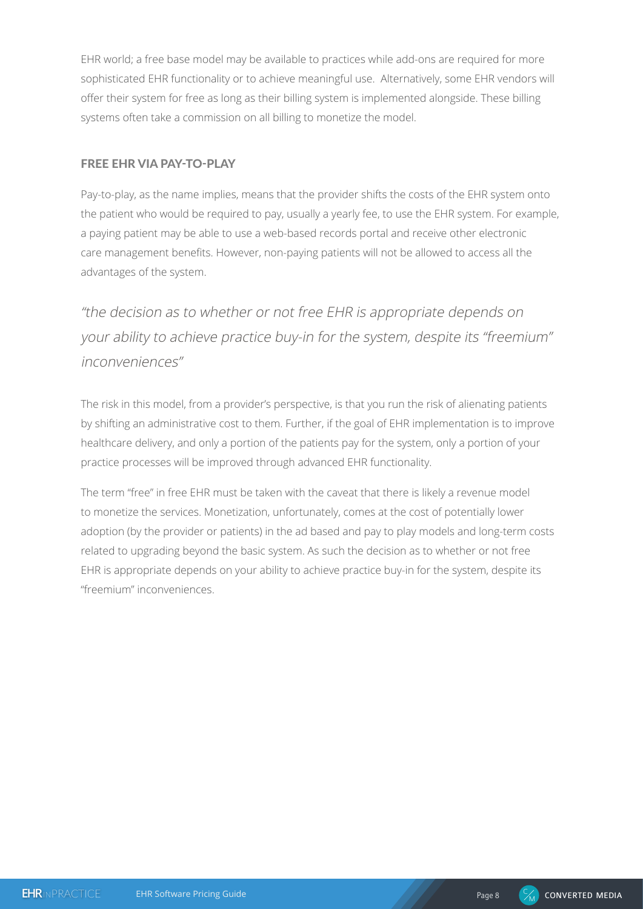EHR world; a free base model may be available to practices while add-ons are required for more sophisticated EHR functionality or to achieve meaningful use. Alternatively, some EHR vendors will offer their system for free as long as their billing system is implemented alongside. These billing systems often take a commission on all billing to monetize the model.

# FREE EHR VIA PAY-TO-PLAY

Pay-to-play, as the name implies, means that the provider shifts the costs of the EHR system onto the patient who would be required to pay, usually a yearly fee, to use the EHR system. For example, a paying patient may be able to use a web-based records portal and receive other electronic care management benefits. However, non-paying patients will not be allowed to access all the advantages of the system.

"the decision as to whether or not free EHR is appropriate depends on your ability to achieve practice buy-in for the system, despite its "freemium" inconveniences"

The risk in this model, from a provider's perspective, is that you run the risk of alienating patients by shifting an administrative cost to them. Further, if the goal of EHR implementation is to improve healthcare delivery, and only a portion of the patients pay for the system, only a portion of your practice processes will be improved through advanced EHR functionality.

The term "free" in free EHR must be taken with the caveat that there is likely a revenue model to monetize the services. Monetization, unfortunately, comes at the cost of potentially lower adoption (by the provider or patients) in the ad based and pay to play models and long-term costs related to upgrading beyond the basic system. As such the decision as to whether or not free EHR is appropriate depends on your ability to achieve practice buy-in for the system, despite its "freemium" inconveniences.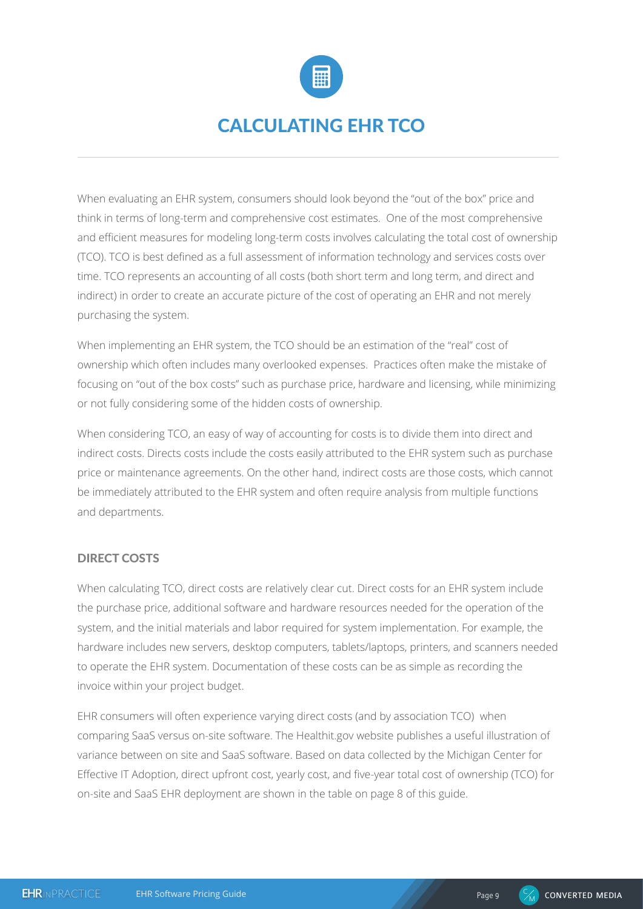

# CALCULATING EHR TCO

When evaluating an EHR system, consumers should look beyond the "out of the box" price and think in terms of long-term and comprehensive cost estimates. One of the most comprehensive and efficient measures for modeling long-term costs involves calculating the total cost of ownership (TCO). TCO is best defined as a full assessment of information technology and services costs over time. TCO represents an accounting of all costs (both short term and long term, and direct and indirect) in order to create an accurate picture of the cost of operating an EHR and not merely purchasing the system.

When implementing an EHR system, the TCO should be an estimation of the "real" cost of ownership which often includes many overlooked expenses. Practices often make the mistake of focusing on "out of the box costs" such as purchase price, hardware and licensing, while minimizing or not fully considering some of the hidden costs of ownership.

When considering TCO, an easy of way of accounting for costs is to divide them into direct and indirect costs. Directs costs include the costs easily attributed to the EHR system such as purchase price or maintenance agreements. On the other hand, indirect costs are those costs, which cannot be immediately attributed to the EHR system and often require analysis from multiple functions and departments.

#### DIRECT COSTS

When calculating TCO, direct costs are relatively clear cut. Direct costs for an EHR system include the purchase price, additional software and hardware resources needed for the operation of the system, and the initial materials and labor required for system implementation. For example, the hardware includes new servers, desktop computers, tablets/laptops, printers, and scanners needed to operate the EHR system. Documentation of these costs can be as simple as recording the invoice within your project budget.

EHR consumers will often experience varying direct costs (and by association TCO) when comparing SaaS versus on-site software. The Healthit.gov website publishes a useful illustration of variance between on site and SaaS software. Based on data collected by the Michigan Center for Effective IT Adoption, direct upfront cost, yearly cost, and five-year total cost of ownership (TCO) for on-site and SaaS EHR deployment are shown in the table on page 8 of this guide.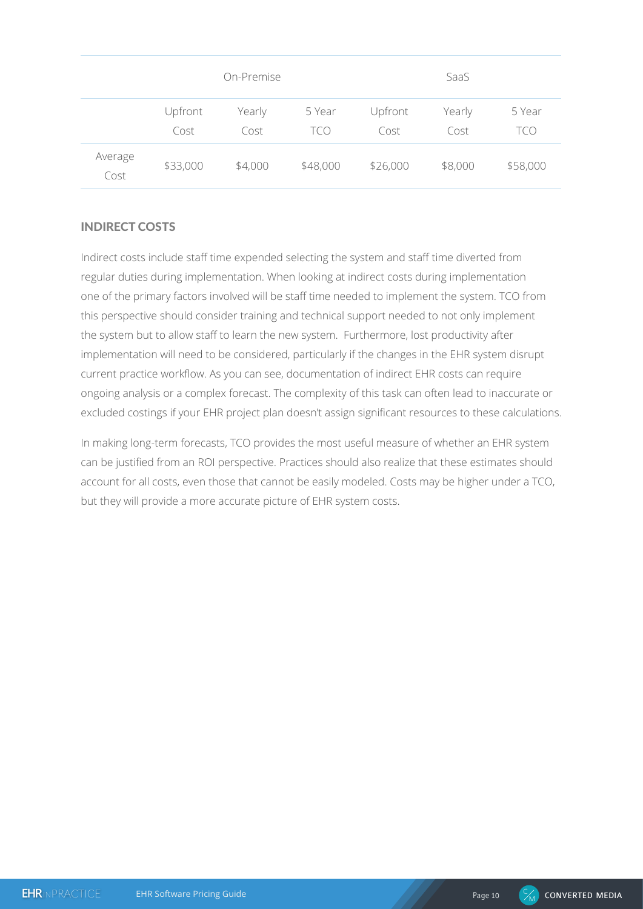|                 |                 | On-Premise     |               |                 | SaaS           |               |
|-----------------|-----------------|----------------|---------------|-----------------|----------------|---------------|
|                 | Upfront<br>Cost | Yearly<br>Cost | 5 Year<br>TCO | Upfront<br>Cost | Yearly<br>Cost | 5 Year<br>tco |
| Average<br>Cost | \$33,000        | \$4,000        | \$48,000      | \$26,000        | \$8,000        | \$58,000      |

# INDIRECT COSTS

Indirect costs include staff time expended selecting the system and staff time diverted from regular duties during implementation. When looking at indirect costs during implementation one of the primary factors involved will be staff time needed to implement the system. TCO from this perspective should consider training and technical support needed to not only implement the system but to allow staff to learn the new system. Furthermore, lost productivity after implementation will need to be considered, particularly if the changes in the EHR system disrupt current practice workflow. As you can see, documentation of indirect EHR costs can require ongoing analysis or a complex forecast. The complexity of this task can often lead to inaccurate or excluded costings if your EHR project plan doesn't assign significant resources to these calculations.

In making long-term forecasts, TCO provides the most useful measure of whether an EHR system can be justified from an ROI perspective. Practices should also realize that these estimates should account for all costs, even those that cannot be easily modeled. Costs may be higher under a TCO, but they will provide a more accurate picture of EHR system costs.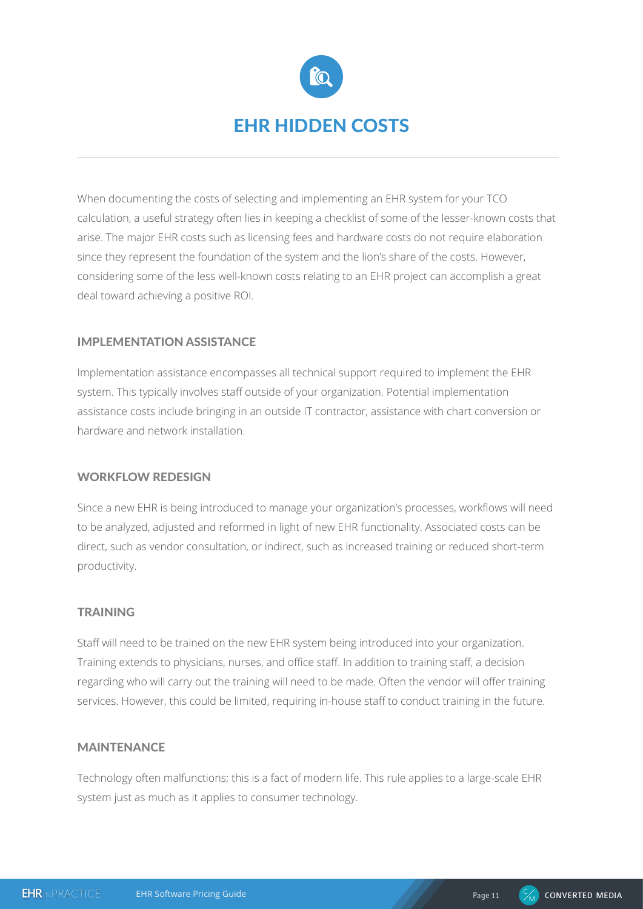

When documenting the costs of selecting and implementing an EHR system for your TCO calculation, a useful strategy often lies in keeping a checklist of some of the lesser-known costs that arise. The major EHR costs such as licensing fees and hardware costs do not require elaboration since they represent the foundation of the system and the lion's share of the costs. However, considering some of the less well-known costs relating to an EHR project can accomplish a great deal toward achieving a positive ROI.

## IMPLEMENTATION ASSISTANCE

Implementation assistance encompasses all technical support required to implement the EHR system. This typically involves staff outside of your organization. Potential implementation assistance costs include bringing in an outside IT contractor, assistance with chart conversion or hardware and network installation.

#### WORKFLOW REDESIGN

Since a new EHR is being introduced to manage your organization's processes, workflows will need to be analyzed, adjusted and reformed in light of new EHR functionality. Associated costs can be direct, such as vendor consultation, or indirect, such as increased training or reduced short-term productivity.

#### TRAINING

Staff will need to be trained on the new EHR system being introduced into your organization. Training extends to physicians, nurses, and office staff. In addition to training staff, a decision regarding who will carry out the training will need to be made. Often the vendor will offer training services. However, this could be limited, requiring in-house staff to conduct training in the future.

#### MAINTENANCE

Technology often malfunctions; this is a fact of modern life. This rule applies to a large-scale EHR system just as much as it applies to consumer technology.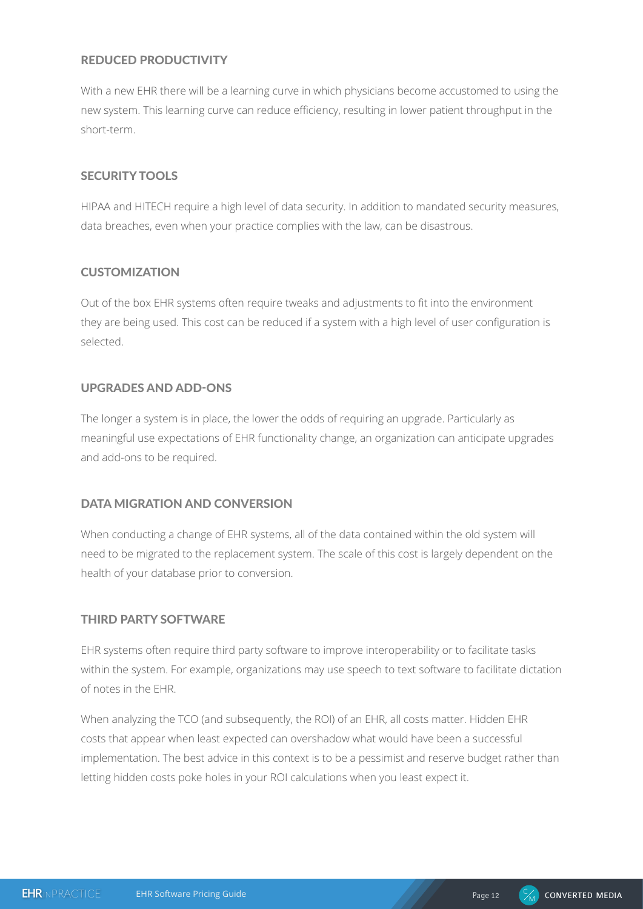# REDUCED PRODUCTIVITY

With a new EHR there will be a learning curve in which physicians become accustomed to using the new system. This learning curve can reduce efficiency, resulting in lower patient throughput in the short-term.

#### SECURITY TOOLS

HIPAA and HITECH require a high level of data security. In addition to mandated security measures, data breaches, even when your practice complies with the law, can be disastrous.

## **CUSTOMIZATION**

Out of the box EHR systems often require tweaks and adjustments to fit into the environment they are being used. This cost can be reduced if a system with a high level of user configuration is selected.

#### UPGRADES AND ADD-ONS

The longer a system is in place, the lower the odds of requiring an upgrade. Particularly as meaningful use expectations of EHR functionality change, an organization can anticipate upgrades and add-ons to be required.

# DATA MIGRATION AND CONVERSION

When conducting a change of EHR systems, all of the data contained within the old system will need to be migrated to the replacement system. The scale of this cost is largely dependent on the health of your database prior to conversion.

#### THIRD PARTY SOFTWARE

EHR systems often require third party software to improve interoperability or to facilitate tasks within the system. For example, organizations may use speech to text software to facilitate dictation of notes in the EHR.

When analyzing the TCO (and subsequently, the ROI) of an EHR, all costs matter. Hidden EHR costs that appear when least expected can overshadow what would have been a successful implementation. The best advice in this context is to be a pessimist and reserve budget rather than letting hidden costs poke holes in your ROI calculations when you least expect it.